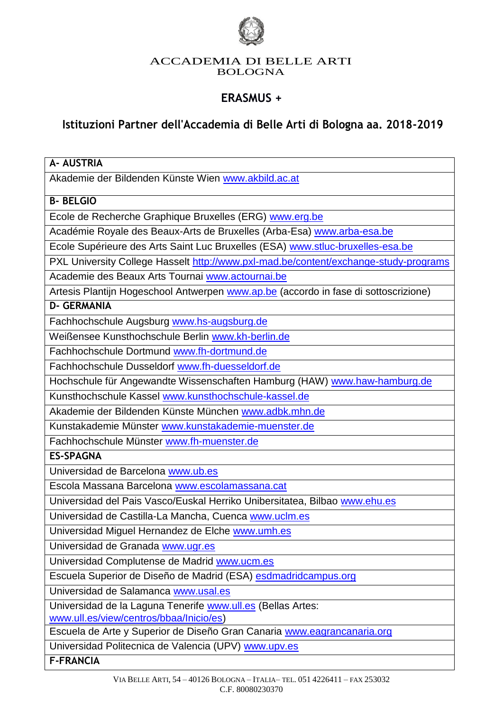

#### ACCADEMIA DI BELLE ARTI BOLOGNA

# **ERASMUS +**

# **Istituzioni Partner dell'Accademia di Belle Arti di Bologna aa. 2018-2019**

| <b>A- AUSTRIA</b>                                                                                      |
|--------------------------------------------------------------------------------------------------------|
| Akademie der Bildenden Künste Wien www.akbild.ac.at                                                    |
| <b>B-BELGIO</b>                                                                                        |
| Ecole de Recherche Graphique Bruxelles (ERG) www.erg.be                                                |
| Académie Royale des Beaux-Arts de Bruxelles (Arba-Esa) www.arba-esa.be                                 |
| Ecole Supérieure des Arts Saint Luc Bruxelles (ESA) www.stluc-bruxelles-esa.be                         |
| PXL University College Hasselt http://www.pxl-mad.be/content/exchange-study-programs                   |
| Academie des Beaux Arts Tournai www.actournai.be                                                       |
| Artesis Plantijn Hogeschool Antwerpen www.ap.be (accordo in fase di sottoscrizione)                    |
| <b>D- GERMANIA</b>                                                                                     |
| Fachhochschule Augsburg www.hs-augsburg.de                                                             |
| Weißensee Kunsthochschule Berlin www.kh-berlin.de                                                      |
| Fachhochschule Dortmund www.fh-dortmund.de                                                             |
| Fachhochschule Dusseldorf www.fh-duesseldorf.de                                                        |
| Hochschule für Angewandte Wissenschaften Hamburg (HAW) www.haw-hamburg.de                              |
| Kunsthochschule Kassel www.kunsthochschule-kassel.de                                                   |
| Akademie der Bildenden Künste München www.adbk.mhn.de                                                  |
| Kunstakademie Münster www.kunstakademie-muenster.de                                                    |
| Fachhochschule Münster www.fh-muenster.de                                                              |
| <b>ES-SPAGNA</b>                                                                                       |
| Universidad de Barcelona www.ub.es                                                                     |
| Escola Massana Barcelona www.escolamassana.cat                                                         |
| Universidad del Pais Vasco/Euskal Herriko Unibersitatea, Bilbao www.ehu.es                             |
| Universidad de Castilla-La Mancha, Cuenca www.uclm.es                                                  |
| Universidad Miguel Hernandez de Elche www.umh.es                                                       |
| Universidad de Granada www.ugr.es                                                                      |
| Universidad Complutense de Madrid www.ucm.es                                                           |
| Escuela Superior de Diseño de Madrid (ESA) esdmadridcampus.org                                         |
| Universidad de Salamanca www.usal.es                                                                   |
| Universidad de la Laguna Tenerife www.ull.es (Bellas Artes:<br>www.ull.es/view/centros/bbaa/Inicio/es) |
| Escuela de Arte y Superior de Diseño Gran Canaria www.eagrancanaria.org                                |
| Universidad Politecnica de Valencia (UPV) www.upv.es                                                   |
| <b>F-FRANCIA</b>                                                                                       |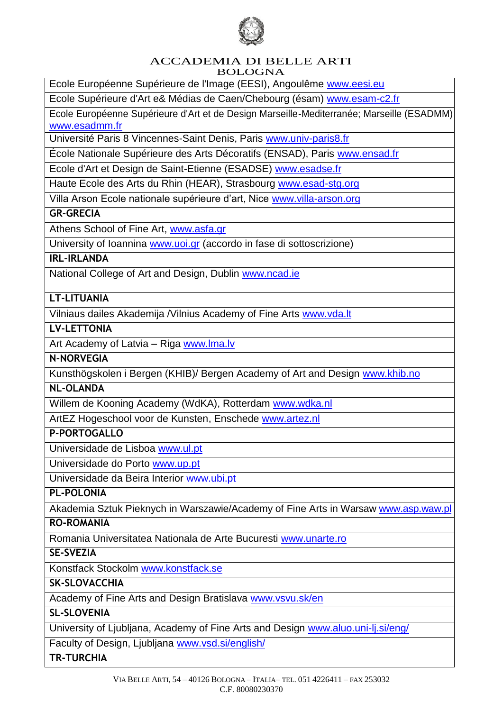

#### ACCADEMIA DI BELLE ARTI BOLOGNA

Ecole Européenne Supérieure de l'Image (EESI), Angoulême [www.eesi.eu](http://www.eesi.eu/)

Ecole Supérieure d'Art e& Médias de Caen/Chebourg (ésam) [www.esam-c2.fr](http://www.esam-c2.fr/)

Ecole Européenne Supérieure d'Art et de Design Marseille-Mediterranée; Marseille (ESADMM) [www.esadmm.fr](http://www.esadmm.fr/)

Université Paris 8 Vincennes-Saint Denis, Paris [www.univ-paris8.fr](http://www.univ-paris8.fr/)

École Nationale Supérieure des Arts Décoratifs (ENSAD), Paris [www.ensad.fr](http://www.ensad.fr/)

Ecole d'Art et Design de Saint-Etienne (ESADSE) [www.esadse.fr](http://www.esadse.fr/)

Haute Ecole des Arts du Rhin (HEAR), Strasbourg [www.esad-stg.org](http://www.esad-stg.org/)

Villa Arson Ecole nationale supérieure d'art, Nice [www.villa-arson.org](http://www.villa-arson.org/)

**GR-GRECIA**

Athens School of Fine Art, [www.asfa.gr](http://www.asfa.gr/)

University of Ioannina [www.uoi.gr](http://www.uoi.gr/) (accordo in fase di sottoscrizione)

## **IRL-IRLANDA**

National College of Art and Design, Dublin [www.ncad.ie](http://www.ncad.ie/)

#### **LT-LITUANIA**

Vilniaus dailes Akademija /Vilnius Academy of Fine Arts [www.vda.lt](http://www.vda.lt/)

#### **LV-LETTONIA**

Art Academy of Latvia - Riga [www.lma.lv](http://www.lma.lv/)

#### **N-NORVEGIA**

Kunsthögskolen i Bergen (KHIB)/ Bergen Academy of Art and Design [www.khib.no](http://www.khib.no/)

#### **NL-OLANDA**

Willem de Kooning Academy (WdKA), Rotterdam [www.wdka.nl](http://www.wdka.nl/)

ArtEZ Hogeschool voor de Kunsten, Enschede [www.artez.nl](http://www.artez.nl/)

#### **P-PORTOGALLO**

Universidade de Lisboa [www.ul.pt](http://www.ul.pt/)

Universidade do Porto [www.up.pt](http://www.up.pt/)

Universidade da Beira Interior [www.ubi.pt](http://www.ubi.pt/)

#### **PL-POLONIA**

Akademia Sztuk Pieknych in Warszawie/Academy of Fine Arts in Warsaw [www.asp.waw.pl](http://www.asp.waw.pl/)

#### **RO-ROMANIA**

Romania Universitatea Nationala de Arte Bucuresti [www.unarte.ro](http://www.unarte.ro/)

**SE-SVEZIA**

Konstfack Stockolm [www.konstfack.se](http://www.konstfack.se/)

#### **SK-SLOVACCHIA**

Academy of Fine Arts and Design Bratislava [www.vsvu.sk/en](http://www.vsvu.sk/en)

## **SL-SLOVENIA**

University of Ljubljana, Academy of Fine Arts and Design [www.aluo.uni-lj.si/eng/](http://www.aluo.uni-lj.si/eng/)

Faculty of Design, Ljubljana [www.vsd.si/english/](http://www.vsd.si/english/)

**TR-TURCHIA**